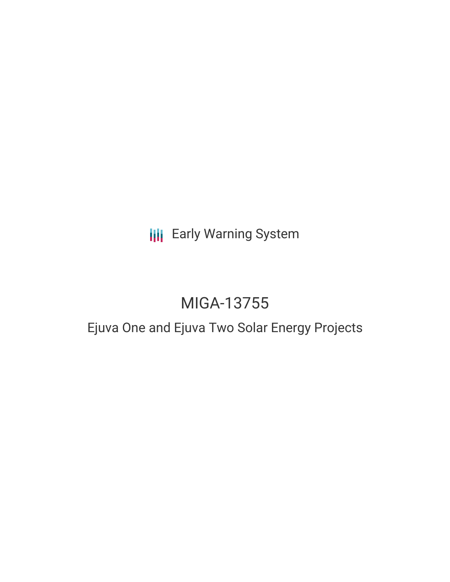## **III** Early Warning System

# MIGA-13755

## Ejuva One and Ejuva Two Solar Energy Projects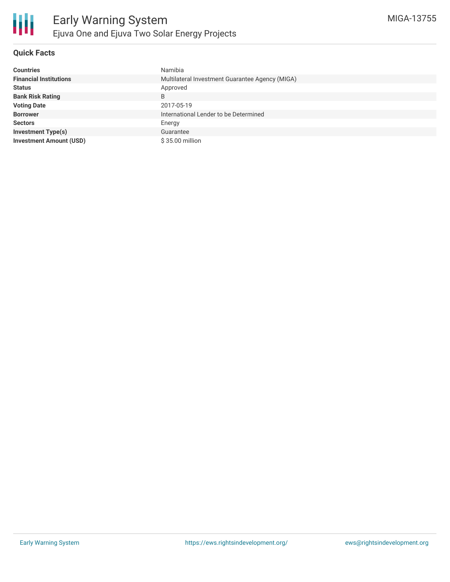

#### **Quick Facts**

| <b>Countries</b>               | Namibia                                         |  |  |  |
|--------------------------------|-------------------------------------------------|--|--|--|
| <b>Financial Institutions</b>  | Multilateral Investment Guarantee Agency (MIGA) |  |  |  |
| <b>Status</b>                  | Approved                                        |  |  |  |
| <b>Bank Risk Rating</b>        | B                                               |  |  |  |
| <b>Voting Date</b>             | 2017-05-19                                      |  |  |  |
| <b>Borrower</b>                | International Lender to be Determined           |  |  |  |
| <b>Sectors</b>                 | Energy                                          |  |  |  |
| <b>Investment Type(s)</b>      | Guarantee                                       |  |  |  |
| <b>Investment Amount (USD)</b> | \$35.00 million                                 |  |  |  |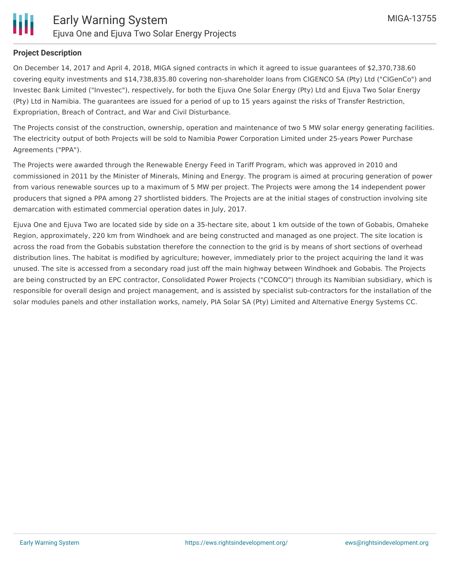

#### **Project Description**

On December 14, 2017 and April 4, 2018, MIGA signed contracts in which it agreed to issue guarantees of \$2,370,738.60 covering equity investments and \$14,738,835.80 covering non-shareholder loans from CIGENCO SA (Pty) Ltd ("CIGenCo") and Investec Bank Limited ("Investec"), respectively, for both the Ejuva One Solar Energy (Pty) Ltd and Ejuva Two Solar Energy (Pty) Ltd in Namibia. The guarantees are issued for a period of up to 15 years against the risks of Transfer Restriction, Expropriation, Breach of Contract, and War and Civil Disturbance.

The Projects consist of the construction, ownership, operation and maintenance of two 5 MW solar energy generating facilities. The electricity output of both Projects will be sold to Namibia Power Corporation Limited under 25-years Power Purchase Agreements ("PPA").

The Projects were awarded through the Renewable Energy Feed in Tariff Program, which was approved in 2010 and commissioned in 2011 by the Minister of Minerals, Mining and Energy. The program is aimed at procuring generation of power from various renewable sources up to a maximum of 5 MW per project. The Projects were among the 14 independent power producers that signed a PPA among 27 shortlisted bidders. The Projects are at the initial stages of construction involving site demarcation with estimated commercial operation dates in July, 2017.

Ejuva One and Ejuva Two are located side by side on a 35-hectare site, about 1 km outside of the town of Gobabis, Omaheke Region, approximately, 220 km from Windhoek and are being constructed and managed as one project. The site location is across the road from the Gobabis substation therefore the connection to the grid is by means of short sections of overhead distribution lines. The habitat is modified by agriculture; however, immediately prior to the project acquiring the land it was unused. The site is accessed from a secondary road just off the main highway between Windhoek and Gobabis. The Projects are being constructed by an EPC contractor, Consolidated Power Projects ("CONCO") through its Namibian subsidiary, which is responsible for overall design and project management, and is assisted by specialist sub-contractors for the installation of the solar modules panels and other installation works, namely, PIA Solar SA (Pty) Limited and Alternative Energy Systems CC.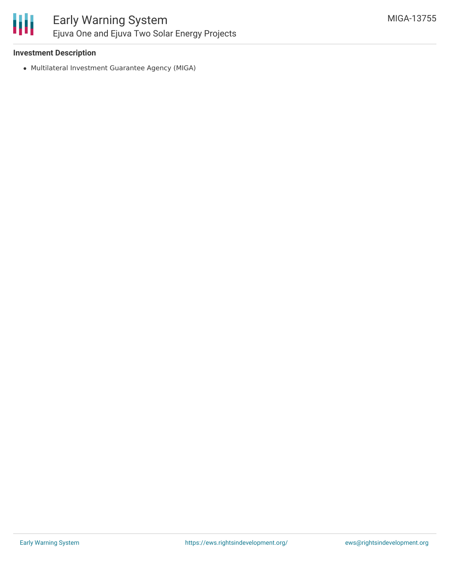

#### **Investment Description**

Multilateral Investment Guarantee Agency (MIGA)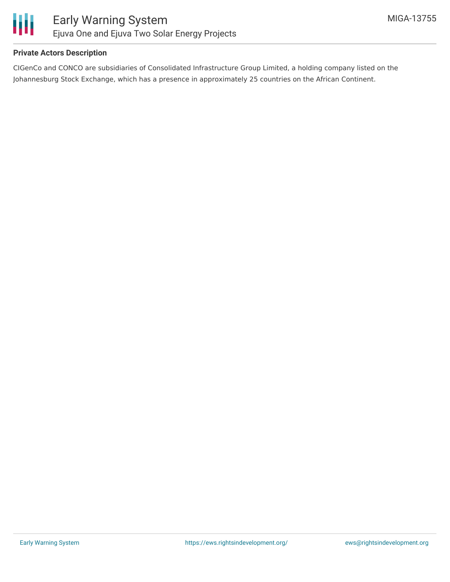

#### **Private Actors Description**

CIGenCo and CONCO are subsidiaries of Consolidated Infrastructure Group Limited, a holding company listed on the Johannesburg Stock Exchange, which has a presence in approximately 25 countries on the African Continent.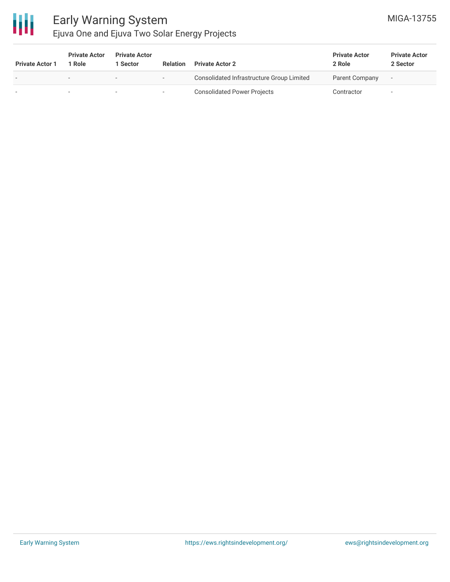

### Early Warning System Ejuva One and Ejuva Two Solar Energy Projects

| <b>Private Actor 1</b>   | <b>Private Actor</b><br>Role | <b>Private Actor</b><br>Sector | <b>Relation</b>          | <b>Private Actor 2</b>                    | <b>Private Actor</b><br>2 Role | <b>Private Actor</b><br>2 Sector |
|--------------------------|------------------------------|--------------------------------|--------------------------|-------------------------------------------|--------------------------------|----------------------------------|
| $\overline{\phantom{a}}$ |                              | $\,$                           | $\overline{\phantom{a}}$ | Consolidated Infrastructure Group Limited | Parent Company                 |                                  |
|                          |                              | $\sim$                         | $\overline{\phantom{0}}$ | <b>Consolidated Power Projects</b>        | Contractor                     |                                  |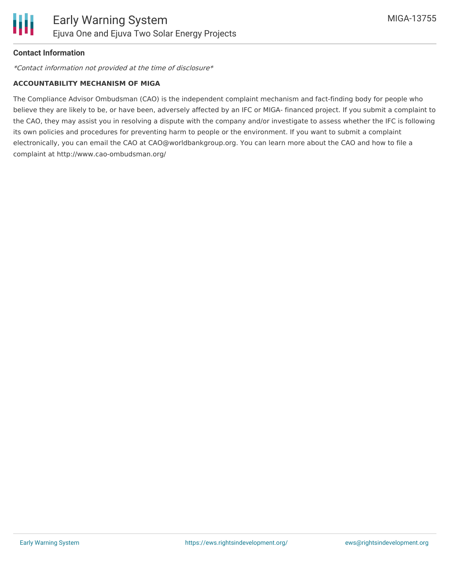

#### **Contact Information**

\*Contact information not provided at the time of disclosure\*

#### **ACCOUNTABILITY MECHANISM OF MIGA**

The Compliance Advisor Ombudsman (CAO) is the independent complaint mechanism and fact-finding body for people who believe they are likely to be, or have been, adversely affected by an IFC or MIGA- financed project. If you submit a complaint to the CAO, they may assist you in resolving a dispute with the company and/or investigate to assess whether the IFC is following its own policies and procedures for preventing harm to people or the environment. If you want to submit a complaint electronically, you can email the CAO at CAO@worldbankgroup.org. You can learn more about the CAO and how to file a complaint at http://www.cao-ombudsman.org/